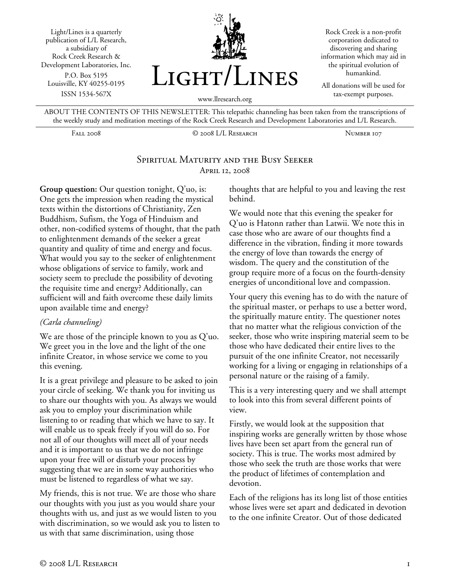Light/Lines is a quarterly publication of L/L Research, a subsidiary of Rock Creek Research & Development Laboratories, Inc. P.O. Box 5195 Louisville, KY 40255-0195 ISSN 1534-567X



Rock Creek is a non-profit corporation dedicated to discovering and sharing information which may aid in the spiritual evolution of humankind.

All donations will be used for tax-exempt purposes.

ABOUT THE CONTENTS OF THIS NEWSLETTER: This telepathic channeling has been taken from the transcriptions of the weekly study and meditation meetings of the Rock Creek Research and Development Laboratories and L/L Research.

Fall 2008 © 2008 L/L Research Number 107

## SPIRITUAL MATURITY AND THE BUSY SEEKER April 12, 2008

**Group question:** Our question tonight, Q'uo, is: One gets the impression when reading the mystical texts within the distortions of Christianity, Zen Buddhism, Sufism, the Yoga of Hinduism and other, non-codified systems of thought, that the path to enlightenment demands of the seeker a great quantity and quality of time and energy and focus. What would you say to the seeker of enlightenment whose obligations of service to family, work and society seem to preclude the possibility of devoting the requisite time and energy? Additionally, can sufficient will and faith overcome these daily limits upon available time and energy?

## *(Carla channeling)*

We are those of the principle known to you as Q'uo. We greet you in the love and the light of the one infinite Creator, in whose service we come to you this evening.

It is a great privilege and pleasure to be asked to join your circle of seeking. We thank you for inviting us to share our thoughts with you. As always we would ask you to employ your discrimination while listening to or reading that which we have to say. It will enable us to speak freely if you will do so. For not all of our thoughts will meet all of your needs and it is important to us that we do not infringe upon your free will or disturb your process by suggesting that we are in some way authorities who must be listened to regardless of what we say.

My friends, this is not true. We are those who share our thoughts with you just as you would share your thoughts with us, and just as we would listen to you with discrimination, so we would ask you to listen to us with that same discrimination, using those

thoughts that are helpful to you and leaving the rest behind.

We would note that this evening the speaker for Q'uo is Hatonn rather than Latwii. We note this in case those who are aware of our thoughts find a difference in the vibration, finding it more towards the energy of love than towards the energy of wisdom. The query and the constitution of the group require more of a focus on the fourth-density energies of unconditional love and compassion.

Your query this evening has to do with the nature of the spiritual master, or perhaps to use a better word, the spiritually mature entity. The questioner notes that no matter what the religious conviction of the seeker, those who write inspiring material seem to be those who have dedicated their entire lives to the pursuit of the one infinite Creator, not necessarily working for a living or engaging in relationships of a personal nature or the raising of a family.

This is a very interesting query and we shall attempt to look into this from several different points of view.

Firstly, we would look at the supposition that inspiring works are generally written by those whose lives have been set apart from the general run of society. This is true. The works most admired by those who seek the truth are those works that were the product of lifetimes of contemplation and devotion.

Each of the religions has its long list of those entities whose lives were set apart and dedicated in devotion to the one infinite Creator. Out of those dedicated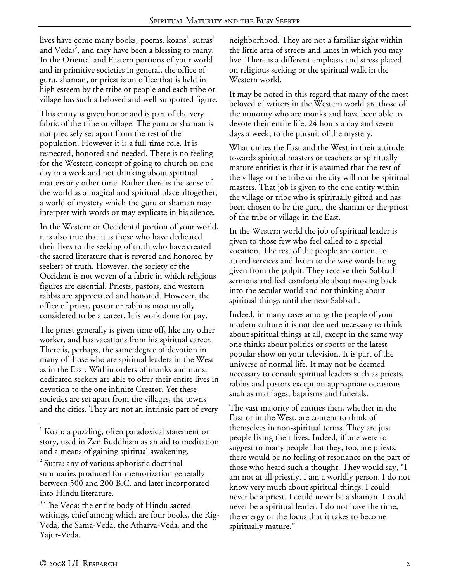lives have come many books, poems, koans $^{\rm l}$ , sutras $^{\rm 2}$ and Vedas<sup>3</sup>, and they have been a blessing to many. In the Oriental and Eastern portions of your world and in primitive societies in general, the office of guru, shaman, or priest is an office that is held in high esteem by the tribe or people and each tribe or village has such a beloved and well-supported figure.

This entity is given honor and is part of the very fabric of the tribe or village. The guru or shaman is not precisely set apart from the rest of the population. However it is a full-time role. It is respected, honored and needed. There is no feeling for the Western concept of going to church on one day in a week and not thinking about spiritual matters any other time. Rather there is the sense of the world as a magical and spiritual place altogether; a world of mystery which the guru or shaman may interpret with words or may explicate in his silence.

In the Western or Occidental portion of your world, it is also true that it is those who have dedicated their lives to the seeking of truth who have created the sacred literature that is revered and honored by seekers of truth. However, the society of the Occident is not woven of a fabric in which religious figures are essential. Priests, pastors, and western rabbis are appreciated and honored. However, the office of priest, pastor or rabbi is most usually considered to be a career. It is work done for pay.

The priest generally is given time off, like any other worker, and has vacations from his spiritual career. There is, perhaps, the same degree of devotion in many of those who are spiritual leaders in the West as in the East. Within orders of monks and nuns, dedicated seekers are able to offer their entire lives in devotion to the one infinite Creator. Yet these societies are set apart from the villages, the towns and the cities. They are not an intrinsic part of every

neighborhood. They are not a familiar sight within the little area of streets and lanes in which you may live. There is a different emphasis and stress placed on religious seeking or the spiritual walk in the Western world.

It may be noted in this regard that many of the most beloved of writers in the Western world are those of the minority who are monks and have been able to devote their entire life, 24 hours a day and seven days a week, to the pursuit of the mystery.

What unites the East and the West in their attitude towards spiritual masters or teachers or spiritually mature entities is that it is assumed that the rest of the village or the tribe or the city will not be spiritual masters. That job is given to the one entity within the village or tribe who is spiritually gifted and has been chosen to be the guru, the shaman or the priest of the tribe or village in the East.

In the Western world the job of spiritual leader is given to those few who feel called to a special vocation. The rest of the people are content to attend services and listen to the wise words being given from the pulpit. They receive their Sabbath sermons and feel comfortable about moving back into the secular world and not thinking about spiritual things until the next Sabbath.

Indeed, in many cases among the people of your modern culture it is not deemed necessary to think about spiritual things at all, except in the same way one thinks about politics or sports or the latest popular show on your television. It is part of the universe of normal life. It may not be deemed necessary to consult spiritual leaders such as priests, rabbis and pastors except on appropriate occasions such as marriages, baptisms and funerals.

The vast majority of entities then, whether in the East or in the West, are content to think of themselves in non-spiritual terms. They are just people living their lives. Indeed, if one were to suggest to many people that they, too, are priests, there would be no feeling of resonance on the part of those who heard such a thought. They would say, "I am not at all priestly. I am a worldly person. I do not know very much about spiritual things. I could never be a priest. I could never be a shaman. I could never be a spiritual leader. I do not have the time, the energy or the focus that it takes to become spiritually mature."

 $\overline{a}$ 

 $1$  Koan: a puzzling, often paradoxical statement or story, used in Zen Buddhism as an aid to meditation and a means of gaining spiritual awakening.

<sup>2</sup> Sutra: any of various aphoristic doctrinal summaries produced for memorization generally between 500 and 200 B.C. and later incorporated into Hindu literature.

<sup>&</sup>lt;sup>3</sup> The Veda: the entire body of Hindu sacred writings, chief among which are four books, the Rig-Veda, the Sama-Veda, the Atharva-Veda, and the Yajur-Veda.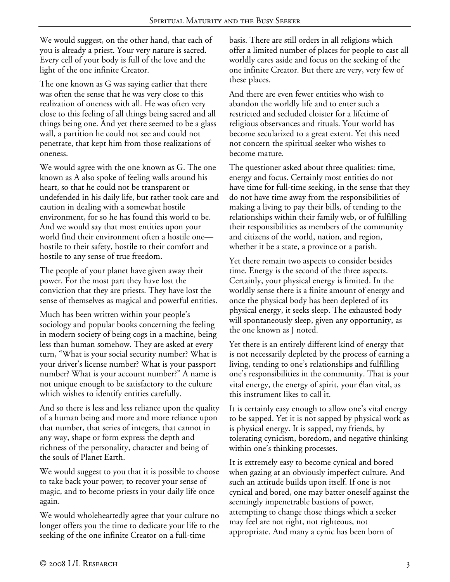We would suggest, on the other hand, that each of you is already a priest. Your very nature is sacred. Every cell of your body is full of the love and the light of the one infinite Creator.

The one known as G was saying earlier that there was often the sense that he was very close to this realization of oneness with all. He was often very close to this feeling of all things being sacred and all things being one. And yet there seemed to be a glass wall, a partition he could not see and could not penetrate, that kept him from those realizations of oneness.

We would agree with the one known as G. The one known as A also spoke of feeling walls around his heart, so that he could not be transparent or undefended in his daily life, but rather took care and caution in dealing with a somewhat hostile environment, for so he has found this world to be. And we would say that most entities upon your world find their environment often a hostile one hostile to their safety, hostile to their comfort and hostile to any sense of true freedom.

The people of your planet have given away their power. For the most part they have lost the conviction that they are priests. They have lost the sense of themselves as magical and powerful entities.

Much has been written within your people's sociology and popular books concerning the feeling in modern society of being cogs in a machine, being less than human somehow. They are asked at every turn, "What is your social security number? What is your driver's license number? What is your passport number? What is your account number?" A name is not unique enough to be satisfactory to the culture which wishes to identify entities carefully.

And so there is less and less reliance upon the quality of a human being and more and more reliance upon that number, that series of integers, that cannot in any way, shape or form express the depth and richness of the personality, character and being of the souls of Planet Earth.

We would suggest to you that it is possible to choose to take back your power; to recover your sense of magic, and to become priests in your daily life once again.

We would wholeheartedly agree that your culture no longer offers you the time to dedicate your life to the seeking of the one infinite Creator on a full-time

basis. There are still orders in all religions which offer a limited number of places for people to cast all worldly cares aside and focus on the seeking of the one infinite Creator. But there are very, very few of these places.

And there are even fewer entities who wish to abandon the worldly life and to enter such a restricted and secluded cloister for a lifetime of religious observances and rituals. Your world has become secularized to a great extent. Yet this need not concern the spiritual seeker who wishes to become mature.

The questioner asked about three qualities: time, energy and focus. Certainly most entities do not have time for full-time seeking, in the sense that they do not have time away from the responsibilities of making a living to pay their bills, of tending to the relationships within their family web, or of fulfilling their responsibilities as members of the community and citizens of the world, nation, and region, whether it be a state, a province or a parish.

Yet there remain two aspects to consider besides time. Energy is the second of the three aspects. Certainly, your physical energy is limited. In the worldly sense there is a finite amount of energy and once the physical body has been depleted of its physical energy, it seeks sleep. The exhausted body will spontaneously sleep, given any opportunity, as the one known as J noted.

Yet there is an entirely different kind of energy that is not necessarily depleted by the process of earning a living, tending to one's relationships and fulfilling one's responsibilities in the community. That is your vital energy, the energy of spirit, your élan vital, as this instrument likes to call it.

It is certainly easy enough to allow one's vital energy to be sapped. Yet it is not sapped by physical work as is physical energy. It is sapped, my friends, by tolerating cynicism, boredom, and negative thinking within one's thinking processes.

It is extremely easy to become cynical and bored when gazing at an obviously imperfect culture. And such an attitude builds upon itself. If one is not cynical and bored, one may batter oneself against the seemingly impenetrable bastions of power, attempting to change those things which a seeker may feel are not right, not righteous, not appropriate. And many a cynic has been born of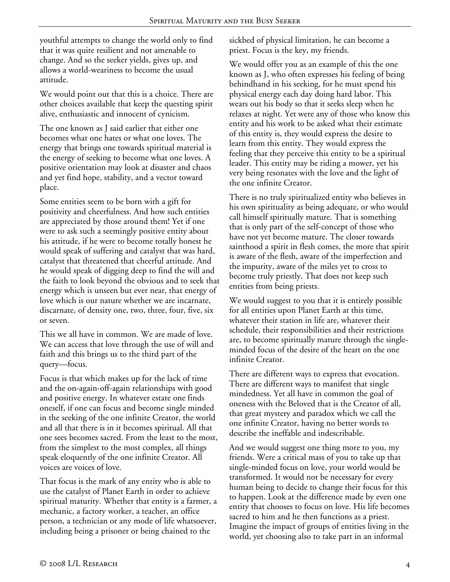youthful attempts to change the world only to find that it was quite resilient and not amenable to change. And so the seeker yields, gives up, and allows a world-weariness to become the usual attitude.

We would point out that this is a choice. There are other choices available that keep the questing spirit alive, enthusiastic and innocent of cynicism.

The one known as J said earlier that either one becomes what one hates or what one loves. The energy that brings one towards spiritual material is the energy of seeking to become what one loves. A positive orientation may look at disaster and chaos and yet find hope, stability, and a vector toward place.

Some entities seem to be born with a gift for positivity and cheerfulness. And how such entities are appreciated by those around them! Yet if one were to ask such a seemingly positive entity about his attitude, if he were to become totally honest he would speak of suffering and catalyst that was hard, catalyst that threatened that cheerful attitude. And he would speak of digging deep to find the will and the faith to look beyond the obvious and to seek that energy which is unseen but ever near, that energy of love which is our nature whether we are incarnate, discarnate, of density one, two, three, four, five, six or seven.

This we all have in common. We are made of love. We can access that love through the use of will and faith and this brings us to the third part of the query—focus.

Focus is that which makes up for the lack of time and the on-again-off-again relationships with good and positive energy. In whatever estate one finds oneself, if one can focus and become single minded in the seeking of the one infinite Creator, the world and all that there is in it becomes spiritual. All that one sees becomes sacred. From the least to the most, from the simplest to the most complex, all things speak eloquently of the one infinite Creator. All voices are voices of love.

That focus is the mark of any entity who is able to use the catalyst of Planet Earth in order to achieve spiritual maturity. Whether that entity is a farmer, a mechanic, a factory worker, a teacher, an office person, a technician or any mode of life whatsoever, including being a prisoner or being chained to the

sickbed of physical limitation, he can become a priest. Focus is the key, my friends.

We would offer you as an example of this the one known as J, who often expresses his feeling of being behindhand in his seeking, for he must spend his physical energy each day doing hard labor. This wears out his body so that it seeks sleep when he relaxes at night. Yet were any of those who know this entity and his work to be asked what their estimate of this entity is, they would express the desire to learn from this entity. They would express the feeling that they perceive this entity to be a spiritual leader. This entity may be riding a mower, yet his very being resonates with the love and the light of the one infinite Creator.

There is no truly spiritualized entity who believes in his own spirituality as being adequate, or who would call himself spiritually mature. That is something that is only part of the self-concept of those who have not yet become mature. The closer towards sainthood a spirit in flesh comes, the more that spirit is aware of the flesh, aware of the imperfection and the impurity, aware of the miles yet to cross to become truly priestly. That does not keep such entities from being priests.

We would suggest to you that it is entirely possible for all entities upon Planet Earth at this time, whatever their station in life are, whatever their schedule, their responsibilities and their restrictions are, to become spiritually mature through the singleminded focus of the desire of the heart on the one infinite Creator.

There are different ways to express that evocation. There are different ways to manifest that single mindedness. Yet all have in common the goal of oneness with the Beloved that is the Creator of all, that great mystery and paradox which we call the one infinite Creator, having no better words to describe the ineffable and indescribable.

And we would suggest one thing more to you, my friends. Were a critical mass of you to take up that single-minded focus on love, your world would be transformed. It would not be necessary for every human being to decide to change their focus for this to happen. Look at the difference made by even one entity that chooses to focus on love. His life becomes sacred to him and he then functions as a priest. Imagine the impact of groups of entities living in the world, yet choosing also to take part in an informal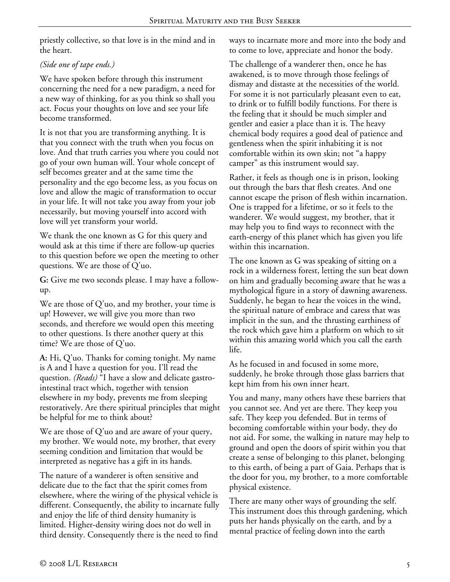priestly collective, so that love is in the mind and in the heart.

## *(Side one of tape ends.)*

We have spoken before through this instrument concerning the need for a new paradigm, a need for a new way of thinking, for as you think so shall you act. Focus your thoughts on love and see your life become transformed.

It is not that you are transforming anything. It is that you connect with the truth when you focus on love. And that truth carries you where you could not go of your own human will. Your whole concept of self becomes greater and at the same time the personality and the ego become less, as you focus on love and allow the magic of transformation to occur in your life. It will not take you away from your job necessarily, but moving yourself into accord with love will yet transform your world.

We thank the one known as G for this query and would ask at this time if there are follow-up queries to this question before we open the meeting to other questions. We are those of Q'uo.

**G:** Give me two seconds please. I may have a followup.

We are those of Q'uo, and my brother, your time is up! However, we will give you more than two seconds, and therefore we would open this meeting to other questions. Is there another query at this time? We are those of Q'uo.

**A:** Hi, Q'uo. Thanks for coming tonight. My name is A and I have a question for you. I'll read the question. *(Reads)* "I have a slow and delicate gastrointestinal tract which, together with tension elsewhere in my body, prevents me from sleeping restoratively. Are there spiritual principles that might be helpful for me to think about?

We are those of Q'uo and are aware of your query, my brother. We would note, my brother, that every seeming condition and limitation that would be interpreted as negative has a gift in its hands.

The nature of a wanderer is often sensitive and delicate due to the fact that the spirit comes from elsewhere, where the wiring of the physical vehicle is different. Consequently, the ability to incarnate fully and enjoy the life of third density humanity is limited. Higher-density wiring does not do well in third density. Consequently there is the need to find

ways to incarnate more and more into the body and to come to love, appreciate and honor the body.

The challenge of a wanderer then, once he has awakened, is to move through those feelings of dismay and distaste at the necessities of the world. For some it is not particularly pleasant even to eat, to drink or to fulfill bodily functions. For there is the feeling that it should be much simpler and gentler and easier a place than it is. The heavy chemical body requires a good deal of patience and gentleness when the spirit inhabiting it is not comfortable within its own skin; not "a happy camper" as this instrument would say.

Rather, it feels as though one is in prison, looking out through the bars that flesh creates. And one cannot escape the prison of flesh within incarnation. One is trapped for a lifetime, or so it feels to the wanderer. We would suggest, my brother, that it may help you to find ways to reconnect with the earth-energy of this planet which has given you life within this incarnation.

The one known as G was speaking of sitting on a rock in a wilderness forest, letting the sun beat down on him and gradually becoming aware that he was a mythological figure in a story of dawning awareness. Suddenly, he began to hear the voices in the wind, the spiritual nature of embrace and caress that was implicit in the sun, and the thrusting earthiness of the rock which gave him a platform on which to sit within this amazing world which you call the earth life.

As he focused in and focused in some more, suddenly, he broke through those glass barriers that kept him from his own inner heart.

You and many, many others have these barriers that you cannot see. And yet are there. They keep you safe. They keep you defended. But in terms of becoming comfortable within your body, they do not aid. For some, the walking in nature may help to ground and open the doors of spirit within you that create a sense of belonging to this planet, belonging to this earth, of being a part of Gaia. Perhaps that is the door for you, my brother, to a more comfortable physical existence.

There are many other ways of grounding the self. This instrument does this through gardening, which puts her hands physically on the earth, and by a mental practice of feeling down into the earth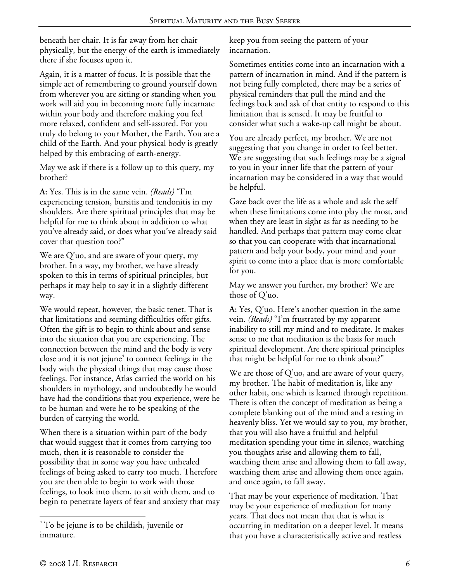beneath her chair. It is far away from her chair physically, but the energy of the earth is immediately there if she focuses upon it.

Again, it is a matter of focus. It is possible that the simple act of remembering to ground yourself down from wherever you are sitting or standing when you work will aid you in becoming more fully incarnate within your body and therefore making you feel more relaxed, confident and self-assured. For you truly do belong to your Mother, the Earth. You are a child of the Earth. And your physical body is greatly helped by this embracing of earth-energy.

May we ask if there is a follow up to this query, my brother?

**A:** Yes. This is in the same vein. *(Reads)* "I'm experiencing tension, bursitis and tendonitis in my shoulders. Are there spiritual principles that may be helpful for me to think about in addition to what you've already said, or does what you've already said cover that question too?"

We are Q'uo, and are aware of your query, my brother. In a way, my brother, we have already spoken to this in terms of spiritual principles, but perhaps it may help to say it in a slightly different way.

We would repeat, however, the basic tenet. That is that limitations and seeming difficulties offer gifts. Often the gift is to begin to think about and sense into the situation that you are experiencing. The connection between the mind and the body is very close and it is not jejune $^4$  to connect feelings in the body with the physical things that may cause those feelings. For instance, Atlas carried the world on his shoulders in mythology, and undoubtedly he would have had the conditions that you experience, were he to be human and were he to be speaking of the burden of carrying the world.

When there is a situation within part of the body that would suggest that it comes from carrying too much, then it is reasonable to consider the possibility that in some way you have unhealed feelings of being asked to carry too much. Therefore you are then able to begin to work with those feelings, to look into them, to sit with them, and to begin to penetrate layers of fear and anxiety that may

keep you from seeing the pattern of your incarnation.

Sometimes entities come into an incarnation with a pattern of incarnation in mind. And if the pattern is not being fully completed, there may be a series of physical reminders that pull the mind and the feelings back and ask of that entity to respond to this limitation that is sensed. It may be fruitful to consider what such a wake-up call might be about.

You are already perfect, my brother. We are not suggesting that you change in order to feel better. We are suggesting that such feelings may be a signal to you in your inner life that the pattern of your incarnation may be considered in a way that would be helpful.

Gaze back over the life as a whole and ask the self when these limitations come into play the most, and when they are least in sight as far as needing to be handled. And perhaps that pattern may come clear so that you can cooperate with that incarnational pattern and help your body, your mind and your spirit to come into a place that is more comfortable for you.

May we answer you further, my brother? We are those of Q'uo.

**A:** Yes, Q'uo. Here's another question in the same vein. *(Reads)* "I'm frustrated by my apparent inability to still my mind and to meditate. It makes sense to me that meditation is the basis for much spiritual development. Are there spiritual principles that might be helpful for me to think about?"

We are those of  $Q'$ uo, and are aware of your query, my brother. The habit of meditation is, like any other habit, one which is learned through repetition. There is often the concept of meditation as being a complete blanking out of the mind and a resting in heavenly bliss. Yet we would say to you, my brother, that you will also have a fruitful and helpful meditation spending your time in silence, watching you thoughts arise and allowing them to fall, watching them arise and allowing them to fall away, watching them arise and allowing them once again, and once again, to fall away.

That may be your experience of meditation. That may be your experience of meditation for many years. That does not mean that that is what is occurring in meditation on a deeper level. It means that you have a characteristically active and restless

 $\overline{a}$ 

 $4^4$  To be jejune is to be childish, juvenile or immature.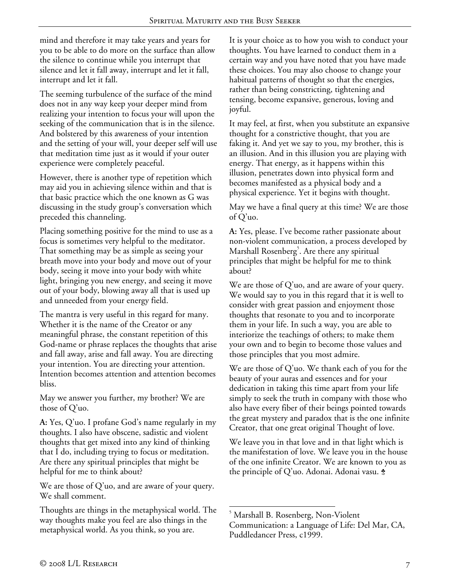mind and therefore it may take years and years for you to be able to do more on the surface than allow the silence to continue while you interrupt that silence and let it fall away, interrupt and let it fall, interrupt and let it fall.

The seeming turbulence of the surface of the mind does not in any way keep your deeper mind from realizing your intention to focus your will upon the seeking of the communication that is in the silence. And bolstered by this awareness of your intention and the setting of your will, your deeper self will use that meditation time just as it would if your outer experience were completely peaceful.

However, there is another type of repetition which may aid you in achieving silence within and that is that basic practice which the one known as G was discussing in the study group's conversation which preceded this channeling.

Placing something positive for the mind to use as a focus is sometimes very helpful to the meditator. That something may be as simple as seeing your breath move into your body and move out of your body, seeing it move into your body with white light, bringing you new energy, and seeing it move out of your body, blowing away all that is used up and unneeded from your energy field.

The mantra is very useful in this regard for many. Whether it is the name of the Creator or any meaningful phrase, the constant repetition of this God-name or phrase replaces the thoughts that arise and fall away, arise and fall away. You are directing your intention. You are directing your attention. Intention becomes attention and attention becomes bliss.

May we answer you further, my brother? We are those of Q'uo.

**A:** Yes, Q'uo. I profane God's name regularly in my thoughts. I also have obscene, sadistic and violent thoughts that get mixed into any kind of thinking that I do, including trying to focus or meditation. Are there any spiritual principles that might be helpful for me to think about?

We are those of Q'uo, and are aware of your query. We shall comment.

Thoughts are things in the metaphysical world. The way thoughts make you feel are also things in the metaphysical world. As you think, so you are.

It is your choice as to how you wish to conduct your thoughts. You have learned to conduct them in a certain way and you have noted that you have made these choices. You may also choose to change your habitual patterns of thought so that the energies, rather than being constricting, tightening and tensing, become expansive, generous, loving and joyful.

It may feel, at first, when you substitute an expansive thought for a constrictive thought, that you are faking it. And yet we say to you, my brother, this is an illusion. And in this illusion you are playing with energy. That energy, as it happens within this illusion, penetrates down into physical form and becomes manifested as a physical body and a physical experience. Yet it begins with thought.

May we have a final query at this time? We are those of Q'uo.

**A:** Yes, please. I've become rather passionate about non-violent communication, a process developed by Marshall Rosenberg<sup>5</sup>. Are there any spiritual principles that might be helpful for me to think about?

We are those of  $Q'$ uo, and are aware of your query. We would say to you in this regard that it is well to consider with great passion and enjoyment those thoughts that resonate to you and to incorporate them in your life. In such a way, you are able to interiorize the teachings of others; to make them your own and to begin to become those values and those principles that you most admire.

We are those of Q'uo. We thank each of you for the beauty of your auras and essences and for your dedication in taking this time apart from your life simply to seek the truth in company with those who also have every fiber of their beings pointed towards the great mystery and paradox that is the one infinite Creator, that one great original Thought of love.

We leave you in that love and in that light which is the manifestation of love. We leave you in the house of the one infinite Creator. We are known to you as the principle of Q'uo. Adonai. Adonai vasu.  $\dot{\bm{z}}$ 

 $\overline{a}$ 5 Marshall B. Rosenberg, Non-Violent Communication: a Language of Life: Del Mar, CA, Puddledancer Press, c1999.